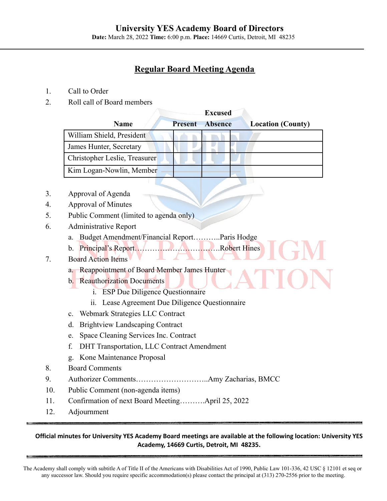## **University YES Academy Board of Directors**

**Date:** March 28, 2022 **Time:** 6:00 p.m. **Place:** 14669 Curtis, Detroit, MI 48235

# **Regular Board Meeting Agenda**

- 1. Call to Order
- 2. Roll call of Board members

|                               | <b>Excused</b> |                |                          |
|-------------------------------|----------------|----------------|--------------------------|
| <b>Name</b>                   | <b>Present</b> | <b>Absence</b> | <b>Location (County)</b> |
| William Shield, President     |                |                |                          |
| James Hunter, Secretary       |                |                |                          |
| Christopher Leslie, Treasurer |                |                |                          |
| Kim Logan-Nowlin, Member      |                |                |                          |

- 3. Approval of Agenda
- 4. Approval of Minutes
- 5. Public Comment (limited to agenda only)
- 6. Administrative Report
	- a. Budget Amendment/Financial Report………..Paris Hodge
	- b. Principal's Report…………………………….Robert Hines

### 7. Board Action Items

- a. Reappointment of Board Member James Hunter
- b. Reauthorization Documents
	- i. ESP Due Diligence Questionnaire
	- ii. Lease Agreement Due Diligence Questionnaire
- c. Webmark Strategies LLC Contract
- d. Brightview Landscaping Contract
- e. Space Cleaning Services Inc. Contract
- f. DHT Transportation, LLC Contract Amendment
- g. Kone Maintenance Proposal
- 8. Board Comments
- 9. Authorizer Comments………………………..Amy Zacharias, BMCC
- 10. Public Comment (non-agenda items)
- 11. Confirmation of next Board Meeting……….April 25, 2022
- 12. Adjournment

#### Official minutes for University YES Academy Board meetings are available at the following location: University YES **Academy, 14669 Curtis, Detroit, MI 48235.**

The Academy shall comply with subtitle A of Title II of the Americans with Disabilities Act of 1990, Public Law 101-336, 42 USC § 12101 et seq or any successor law. Should you require specific accommodation(s) please contact the principal at (313) 270-2556 prior to the meeting.